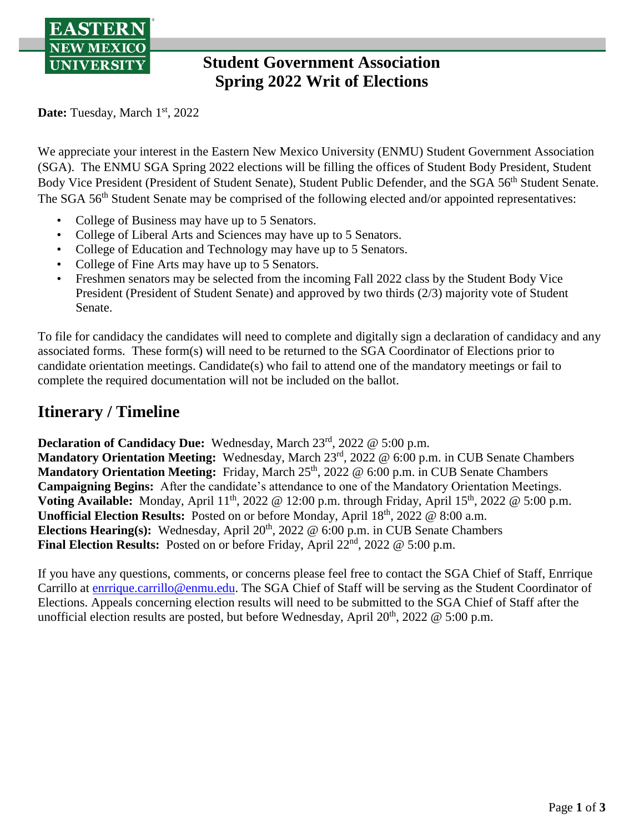

# **Student Government Association Spring 2022 Writ of Elections**

Date: Tuesday, March 1<sup>st</sup>, 2022

We appreciate your interest in the Eastern New Mexico University (ENMU) Student Government Association (SGA). The ENMU SGA Spring 2022 elections will be filling the offices of Student Body President, Student Body Vice President (President of Student Senate), Student Public Defender, and the SGA 56<sup>th</sup> Student Senate. The SGA 56<sup>th</sup> Student Senate may be comprised of the following elected and/or appointed representatives:

- College of Business may have up to 5 Senators.
- College of Liberal Arts and Sciences may have up to 5 Senators.
- College of Education and Technology may have up to 5 Senators.
- College of Fine Arts may have up to 5 Senators.
- Freshmen senators may be selected from the incoming Fall 2022 class by the Student Body Vice President (President of Student Senate) and approved by two thirds (2/3) majority vote of Student Senate.

To file for candidacy the candidates will need to complete and digitally sign a declaration of candidacy and any associated forms. These form(s) will need to be returned to the SGA Coordinator of Elections prior to candidate orientation meetings. Candidate(s) who fail to attend one of the mandatory meetings or fail to complete the required documentation will not be included on the ballot.

# **Itinerary / Timeline**

**Declaration of Candidacy Due:** Wednesday, March 23rd, 2022 @ 5:00 p.m.

**Mandatory Orientation Meeting:** Wednesday, March 23rd , 2022 @ 6:00 p.m. in CUB Senate Chambers **Mandatory Orientation Meeting:** Friday, March 25<sup>th</sup>, 2022 @ 6:00 p.m. in CUB Senate Chambers **Campaigning Begins:** After the candidate's attendance to one of the Mandatory Orientation Meetings. Voting Available: Monday, April  $11<sup>th</sup>$ , 2022 @ 12:00 p.m. through Friday, April  $15<sup>th</sup>$ , 2022 @ 5:00 p.m. Unofficial Election Results: Posted on or before Monday, April 18<sup>th</sup>, 2022 @ 8:00 a.m. Elections Hearing(s): Wednesday, April 20<sup>th</sup>, 2022 @ 6:00 p.m. in CUB Senate Chambers **Final Election Results:** Posted on or before Friday, April 22<sup>nd</sup>, 2022 @ 5:00 p.m.

If you have any questions, comments, or concerns please feel free to contact the SGA Chief of Staff, Enrrique Carrillo at **enrrique.carrillo@enmu.edu.** The SGA Chief of Staff will be serving as the Student Coordinator of Elections. Appeals concerning election results will need to be submitted to the SGA Chief of Staff after the unofficial election results are posted, but before Wednesday, April  $20^{th}$ ,  $2022 \& 5:00$  p.m.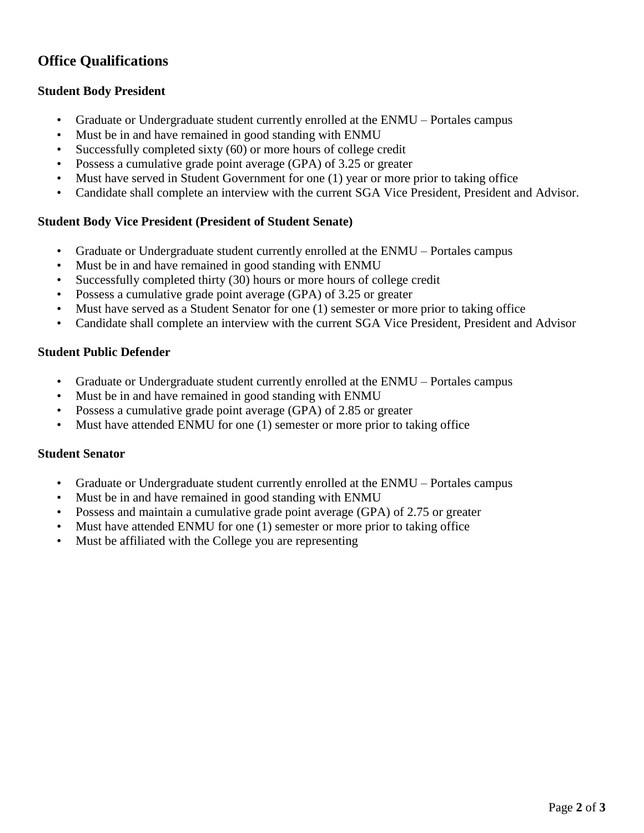### **Office Qualifications**

### **Student Body President**

- Graduate or Undergraduate student currently enrolled at the ENMU Portales campus
- Must be in and have remained in good standing with ENMU
- Successfully completed sixty (60) or more hours of college credit
- Possess a cumulative grade point average (GPA) of 3.25 or greater
- Must have served in Student Government for one (1) year or more prior to taking office
- Candidate shall complete an interview with the current SGA Vice President, President and Advisor.

### **Student Body Vice President (President of Student Senate)**

- Graduate or Undergraduate student currently enrolled at the ENMU Portales campus
- Must be in and have remained in good standing with ENMU
- Successfully completed thirty (30) hours or more hours of college credit
- Possess a cumulative grade point average (GPA) of 3.25 or greater
- Must have served as a Student Senator for one (1) semester or more prior to taking office
- Candidate shall complete an interview with the current SGA Vice President, President and Advisor

#### **Student Public Defender**

- Graduate or Undergraduate student currently enrolled at the ENMU Portales campus
- Must be in and have remained in good standing with ENMU
- Possess a cumulative grade point average (GPA) of 2.85 or greater
- Must have attended ENMU for one (1) semester or more prior to taking office

#### **Student Senator**

- Graduate or Undergraduate student currently enrolled at the ENMU Portales campus
- Must be in and have remained in good standing with ENMU
- Possess and maintain a cumulative grade point average (GPA) of 2.75 or greater
- Must have attended ENMU for one (1) semester or more prior to taking office
- Must be affiliated with the College you are representing